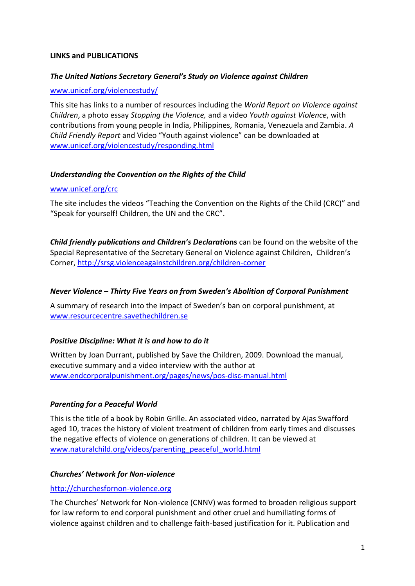## **LINKS and PUBLICATIONS**

## *The United Nations Secretary General's Study on Violence against Children*

### [www.unicef.org/violencestudy/](http://www.unicef.org/violencestudy/)

This site has links to a number of resources including the *World Report on Violence against Children*, a photo essay *Stopping the Violence,* and a video *Youth against Violence*, with contributions from young people in India, Philippines, Romania, Venezuela and Zambia. *A Child Friendly Report* and Video "Youth against violence" can be downloaded at [www.unicef.org/violencestudy/responding.html](http://www.unicef.org/violencestudy/responding.html)

## *Understanding the Convention on the Rights of the Child*

## [www.unicef.org/crc](http://www.unicef.org/crc)

The site includes the videos "Teaching the Convention on the Rights of the Child (CRC)" and "Speak for yourself! Children, the UN and the CRC".

*Child friendly publications and Children's Declarati***ons** can be found on the website of the Special Representative of the Secretary General on Violence against Children, Children's Corner,<http://srsg.violenceagainstchildren.org/children-corner>

## *Never Violence – Thirty Five Years on from Sweden's Abolition of Corporal Punishment*

A summary of research into the impact of Sweden's ban on corporal punishment, at [www.resourcecentre.savethechildren.se](http://www.resourcecentre.savethechildren.se/)

# *Positive Discipline: What it is and how to do it*

Written by Joan Durrant, published by Save the Children, 2009. Download the manual, executive summary and a video interview with the author at [www.endcorporalpunishment.org/pages/news/pos-disc-manual.html](http://www.endcorporalpunishment.org/pages/news/pos-disc-manual.html)

# *Parenting for a Peaceful World*

This is the title of a book by Robin Grille. An associated video, narrated by Ajas Swafford aged 10, traces the history of violent treatment of children from early times and discusses the negative effects of violence on generations of children. It can be viewed at [www.naturalchild.org/videos/parenting\\_peaceful\\_world.html](http://www.naturalchild.org/videos/parenting_peaceful_world.html)

# *Churches' Network for Non-violence*

#### [http://churchesfornon-violence.org](http://churchesfornon-violence.org/)

The Churches' Network for Non-violence (CNNV) was formed to broaden religious support for law reform to end corporal punishment and other cruel and humiliating forms of violence against children and to challenge faith-based justification for it. Publication and